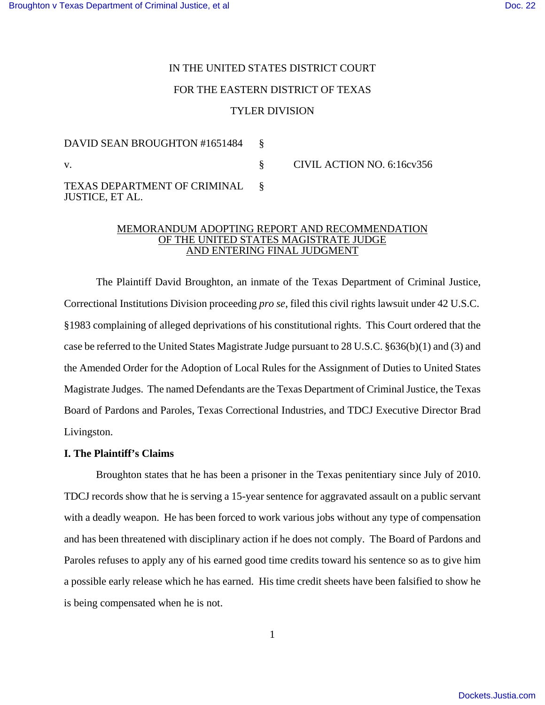# IN THE UNITED STATES DISTRICT COURT FOR THE EASTERN DISTRICT OF TEXAS TYLER DIVISION

DAVID SEAN BROUGHTON #1651484 § v. Same School School School School School School School School School School School School School School School School School School School School School School School School School School School School School School Scho TEXAS DEPARTMENT OF CRIMINAL JUSTICE, ET AL. §

### MEMORANDUM ADOPTING REPORT AND RECOMMENDATION OF THE UNITED STATES MAGISTRATE JUDGE AND ENTERING FINAL JUDGMENT

The Plaintiff David Broughton, an inmate of the Texas Department of Criminal Justice, Correctional Institutions Division proceeding *pro se*, filed this civil rights lawsuit under 42 U.S.C. §1983 complaining of alleged deprivations of his constitutional rights. This Court ordered that the case be referred to the United States Magistrate Judge pursuant to 28 U.S.C. §636(b)(1) and (3) and the Amended Order for the Adoption of Local Rules for the Assignment of Duties to United States Magistrate Judges. The named Defendants are the Texas Department of Criminal Justice, the Texas Board of Pardons and Paroles, Texas Correctional Industries, and TDCJ Executive Director Brad Livingston.

# **I. The Plaintiff's Claims**

Broughton states that he has been a prisoner in the Texas penitentiary since July of 2010. TDCJ records show that he is serving a 15-year sentence for aggravated assault on a public servant with a deadly weapon. He has been forced to work various jobs without any type of compensation and has been threatened with disciplinary action if he does not comply. The Board of Pardons and Paroles refuses to apply any of his earned good time credits toward his sentence so as to give him a possible early release which he has earned. His time credit sheets have been falsified to show he is being compensated when he is not.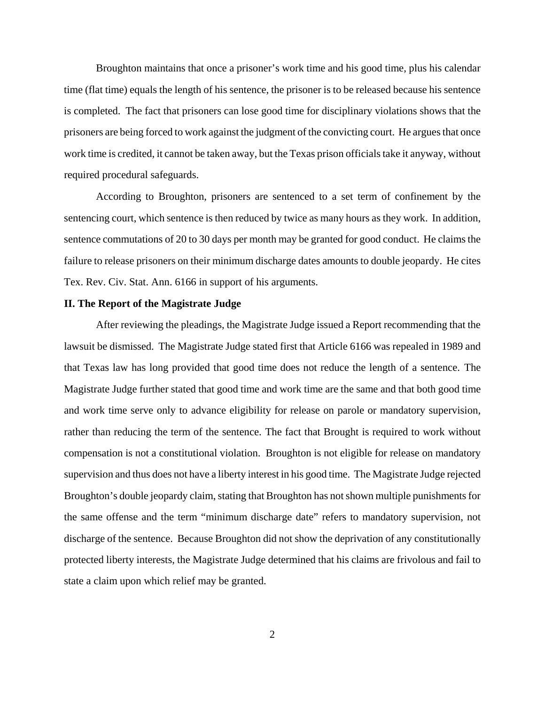Broughton maintains that once a prisoner's work time and his good time, plus his calendar time (flat time) equals the length of his sentence, the prisoner is to be released because his sentence is completed. The fact that prisoners can lose good time for disciplinary violations shows that the prisoners are being forced to work against the judgment of the convicting court. He argues that once work time is credited, it cannot be taken away, but the Texas prison officials take it anyway, without required procedural safeguards.

According to Broughton, prisoners are sentenced to a set term of confinement by the sentencing court, which sentence is then reduced by twice as many hours as they work. In addition, sentence commutations of 20 to 30 days per month may be granted for good conduct. He claims the failure to release prisoners on their minimum discharge dates amounts to double jeopardy. He cites Tex. Rev. Civ. Stat. Ann. 6166 in support of his arguments.

### **II. The Report of the Magistrate Judge**

After reviewing the pleadings, the Magistrate Judge issued a Report recommending that the lawsuit be dismissed. The Magistrate Judge stated first that Article 6166 was repealed in 1989 and that Texas law has long provided that good time does not reduce the length of a sentence. The Magistrate Judge further stated that good time and work time are the same and that both good time and work time serve only to advance eligibility for release on parole or mandatory supervision, rather than reducing the term of the sentence. The fact that Brought is required to work without compensation is not a constitutional violation. Broughton is not eligible for release on mandatory supervision and thus does not have a liberty interest in his good time. The Magistrate Judge rejected Broughton's double jeopardy claim, stating that Broughton has not shown multiple punishments for the same offense and the term "minimum discharge date" refers to mandatory supervision, not discharge of the sentence. Because Broughton did not show the deprivation of any constitutionally protected liberty interests, the Magistrate Judge determined that his claims are frivolous and fail to state a claim upon which relief may be granted.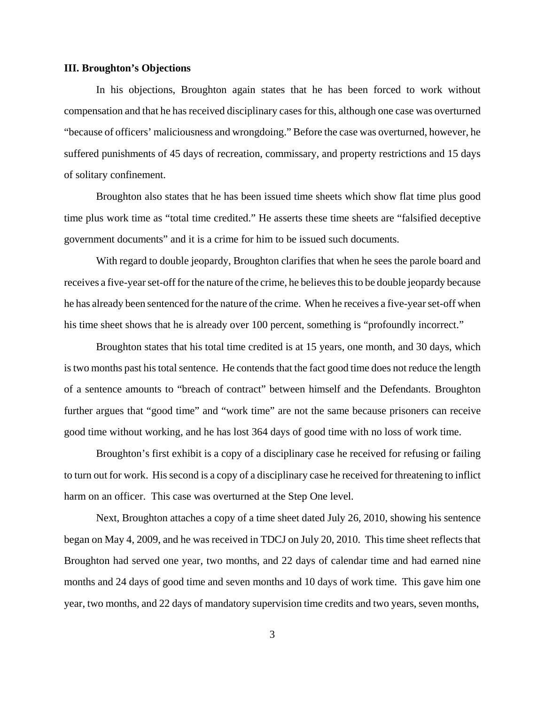#### **III. Broughton's Objections**

In his objections, Broughton again states that he has been forced to work without compensation and that he has received disciplinary casesfor this, although one case was overturned "because of officers' maliciousness and wrongdoing." Before the case was overturned, however, he suffered punishments of 45 days of recreation, commissary, and property restrictions and 15 days of solitary confinement.

Broughton also states that he has been issued time sheets which show flat time plus good time plus work time as "total time credited." He asserts these time sheets are "falsified deceptive government documents" and it is a crime for him to be issued such documents.

With regard to double jeopardy, Broughton clarifies that when he sees the parole board and receives a five-year set-off for the nature of the crime, he believes this to be double jeopardy because he has already been sentenced for the nature of the crime. When he receives a five-year set-off when his time sheet shows that he is already over 100 percent, something is "profoundly incorrect."

Broughton states that his total time credited is at 15 years, one month, and 30 days, which is two months past his total sentence. He contends that the fact good time does not reduce the length of a sentence amounts to "breach of contract" between himself and the Defendants. Broughton further argues that "good time" and "work time" are not the same because prisoners can receive good time without working, and he has lost 364 days of good time with no loss of work time.

Broughton's first exhibit is a copy of a disciplinary case he received for refusing or failing to turn out for work. Hissecond is a copy of a disciplinary case he received for threatening to inflict harm on an officer. This case was overturned at the Step One level.

Next, Broughton attaches a copy of a time sheet dated July 26, 2010, showing his sentence began on May 4, 2009, and he was received in TDCJ on July 20, 2010. This time sheet reflects that Broughton had served one year, two months, and 22 days of calendar time and had earned nine months and 24 days of good time and seven months and 10 days of work time. This gave him one year, two months, and 22 days of mandatory supervision time credits and two years, seven months,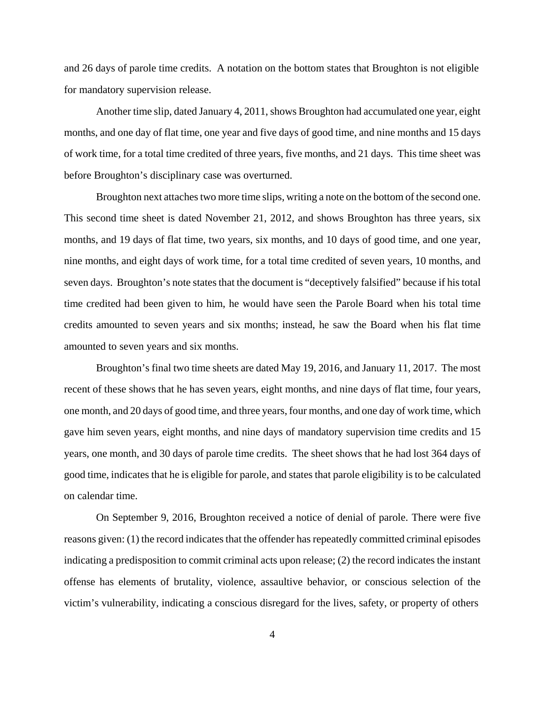and 26 days of parole time credits. A notation on the bottom states that Broughton is not eligible for mandatory supervision release.

Another time slip, dated January 4, 2011, shows Broughton had accumulated one year, eight months, and one day of flat time, one year and five days of good time, and nine months and 15 days of work time, for a total time credited of three years, five months, and 21 days. This time sheet was before Broughton's disciplinary case was overturned.

Broughton next attaches two more time slips, writing a note on the bottom of the second one. This second time sheet is dated November 21, 2012, and shows Broughton has three years, six months, and 19 days of flat time, two years, six months, and 10 days of good time, and one year, nine months, and eight days of work time, for a total time credited of seven years, 10 months, and seven days. Broughton's note states that the document is "deceptively falsified" because if his total time credited had been given to him, he would have seen the Parole Board when his total time credits amounted to seven years and six months; instead, he saw the Board when his flat time amounted to seven years and six months.

Broughton's final two time sheets are dated May 19, 2016, and January 11, 2017. The most recent of these shows that he has seven years, eight months, and nine days of flat time, four years, one month, and 20 days of good time, and three years, four months, and one day of work time, which gave him seven years, eight months, and nine days of mandatory supervision time credits and 15 years, one month, and 30 days of parole time credits. The sheet shows that he had lost 364 days of good time, indicates that he is eligible for parole, and states that parole eligibility is to be calculated on calendar time.

On September 9, 2016, Broughton received a notice of denial of parole. There were five reasons given: (1) the record indicates that the offender has repeatedly committed criminal episodes indicating a predisposition to commit criminal acts upon release; (2) the record indicates the instant offense has elements of brutality, violence, assaultive behavior, or conscious selection of the victim's vulnerability, indicating a conscious disregard for the lives, safety, or property of others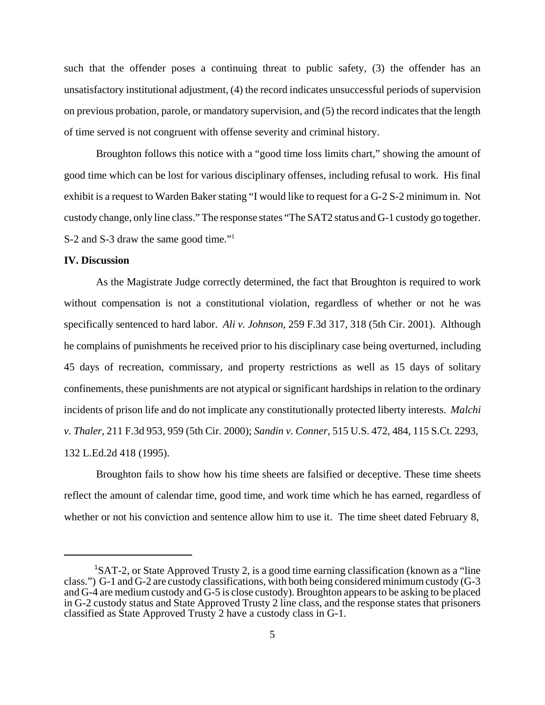such that the offender poses a continuing threat to public safety, (3) the offender has an unsatisfactory institutional adjustment, (4) the record indicates unsuccessful periods of supervision on previous probation, parole, or mandatory supervision, and (5) the record indicates that the length of time served is not congruent with offense severity and criminal history.

Broughton follows this notice with a "good time loss limits chart," showing the amount of good time which can be lost for various disciplinary offenses, including refusal to work. His final exhibit is a request to Warden Baker stating "I would like to request for a G-2 S-2 minimum in. Not custody change, only line class." The response states "The SAT2 status and G-1 custody go together. S-2 and S-3 draw the same good time."<sup>1</sup>

#### **IV. Discussion**

As the Magistrate Judge correctly determined, the fact that Broughton is required to work without compensation is not a constitutional violation, regardless of whether or not he was specifically sentenced to hard labor. *Ali v. Johnson*, 259 F.3d 317, 318 (5th Cir. 2001). Although he complains of punishments he received prior to his disciplinary case being overturned, including 45 days of recreation, commissary, and property restrictions as well as 15 days of solitary confinements, these punishments are not atypical or significant hardships in relation to the ordinary incidents of prison life and do not implicate any constitutionally protected liberty interests. *Malchi v. Thaler*, 211 F.3d 953, 959 (5th Cir. 2000); *Sandin v. Conner*, 515 U.S. 472, 484, 115 S.Ct. 2293, 132 L.Ed.2d 418 (1995).

Broughton fails to show how his time sheets are falsified or deceptive. These time sheets reflect the amount of calendar time, good time, and work time which he has earned, regardless of whether or not his conviction and sentence allow him to use it. The time sheet dated February 8,

<sup>&</sup>lt;sup>1</sup>SAT-2, or State Approved Trusty 2, is a good time earning classification (known as a "line class.") G-1 and G-2 are custody classifications, with both being considered minimum custody (G-3 and G-4 are medium custody and G-5 is close custody). Broughton appears to be asking to be placed in G-2 custody status and State Approved Trusty 2 line class, and the response states that prisoners classified as State Approved Trusty 2 have a custody class in G-1.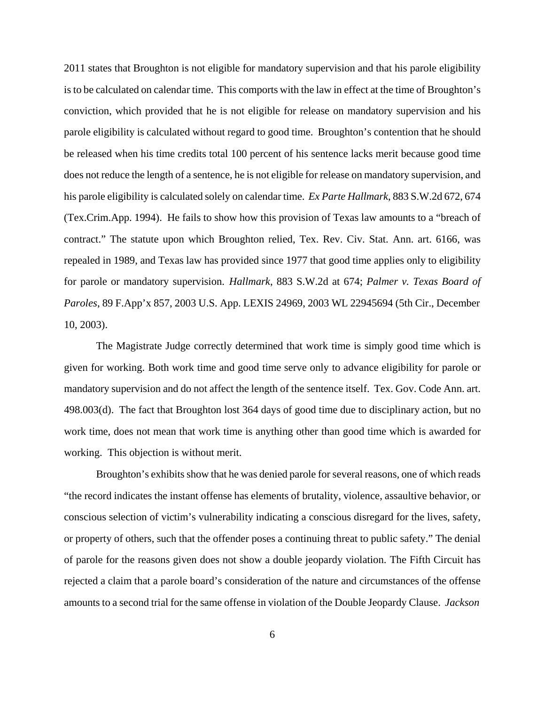2011 states that Broughton is not eligible for mandatory supervision and that his parole eligibility is to be calculated on calendar time. This comports with the law in effect at the time of Broughton's conviction, which provided that he is not eligible for release on mandatory supervision and his parole eligibility is calculated without regard to good time. Broughton's contention that he should be released when his time credits total 100 percent of his sentence lacks merit because good time does not reduce the length of a sentence, he is not eligible for release on mandatory supervision, and his parole eligibility is calculated solely on calendar time. *Ex Parte Hallmark*, 883 S.W.2d 672, 674 (Tex.Crim.App. 1994). He fails to show how this provision of Texas law amounts to a "breach of contract." The statute upon which Broughton relied, Tex. Rev. Civ. Stat. Ann. art. 6166, was repealed in 1989, and Texas law has provided since 1977 that good time applies only to eligibility for parole or mandatory supervision. *Hallmark*, 883 S.W.2d at 674; *Palmer v. Texas Board of Paroles*, 89 F.App'x 857, 2003 U.S. App. LEXIS 24969, 2003 WL 22945694 (5th Cir., December 10, 2003).

The Magistrate Judge correctly determined that work time is simply good time which is given for working. Both work time and good time serve only to advance eligibility for parole or mandatory supervision and do not affect the length of the sentence itself. Tex. Gov. Code Ann. art. 498.003(d). The fact that Broughton lost 364 days of good time due to disciplinary action, but no work time, does not mean that work time is anything other than good time which is awarded for working. This objection is without merit.

Broughton's exhibits show that he was denied parole for several reasons, one of which reads "the record indicates the instant offense has elements of brutality, violence, assaultive behavior, or conscious selection of victim's vulnerability indicating a conscious disregard for the lives, safety, or property of others, such that the offender poses a continuing threat to public safety." The denial of parole for the reasons given does not show a double jeopardy violation. The Fifth Circuit has rejected a claim that a parole board's consideration of the nature and circumstances of the offense amounts to a second trial for the same offense in violation of the Double Jeopardy Clause. *Jackson*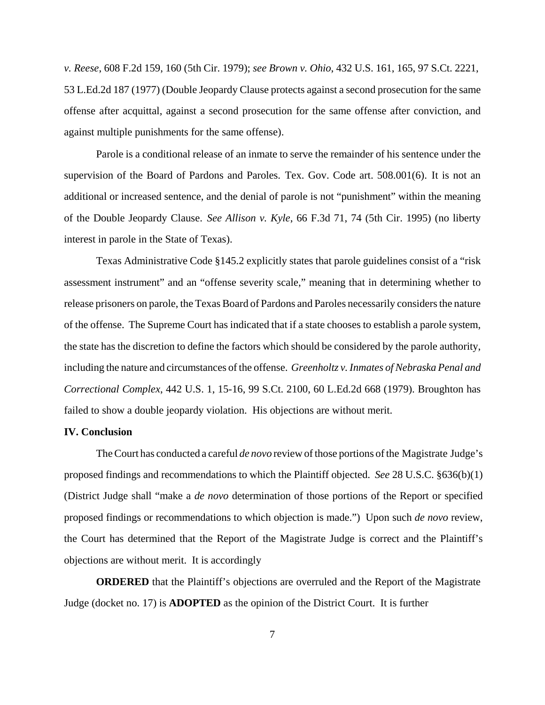*v. Reese*, 608 F.2d 159, 160 (5th Cir. 1979); *see Brown v. Ohio*, 432 U.S. 161, 165, 97 S.Ct. 2221, 53 L.Ed.2d 187 (1977) (Double Jeopardy Clause protects against a second prosecution for the same offense after acquittal, against a second prosecution for the same offense after conviction, and against multiple punishments for the same offense).

Parole is a conditional release of an inmate to serve the remainder of his sentence under the supervision of the Board of Pardons and Paroles. Tex. Gov. Code art. 508.001(6). It is not an additional or increased sentence, and the denial of parole is not "punishment" within the meaning of the Double Jeopardy Clause. *See Allison v. Kyle*, 66 F.3d 71, 74 (5th Cir. 1995) (no liberty interest in parole in the State of Texas).

Texas Administrative Code §145.2 explicitly states that parole guidelines consist of a "risk assessment instrument" and an "offense severity scale," meaning that in determining whether to release prisoners on parole, the Texas Board of Pardons and Paroles necessarily considers the nature of the offense. The Supreme Court has indicated that if a state chooses to establish a parole system, the state has the discretion to define the factors which should be considered by the parole authority, including the nature and circumstances of the offense. *Greenholtz v. Inmates of Nebraska Penal and Correctional Complex*, 442 U.S. 1, 15-16, 99 S.Ct. 2100, 60 L.Ed.2d 668 (1979). Broughton has failed to show a double jeopardy violation. His objections are without merit.

# **IV. Conclusion**

The Court has conducted a careful *de novo* review of those portions of the Magistrate Judge's proposed findings and recommendations to which the Plaintiff objected. *See* 28 U.S.C. §636(b)(1) (District Judge shall "make a *de novo* determination of those portions of the Report or specified proposed findings or recommendations to which objection is made.") Upon such *de novo* review, the Court has determined that the Report of the Magistrate Judge is correct and the Plaintiff's objections are without merit. It is accordingly

**ORDERED** that the Plaintiff's objections are overruled and the Report of the Magistrate Judge (docket no. 17) is **ADOPTED** as the opinion of the District Court. It is further